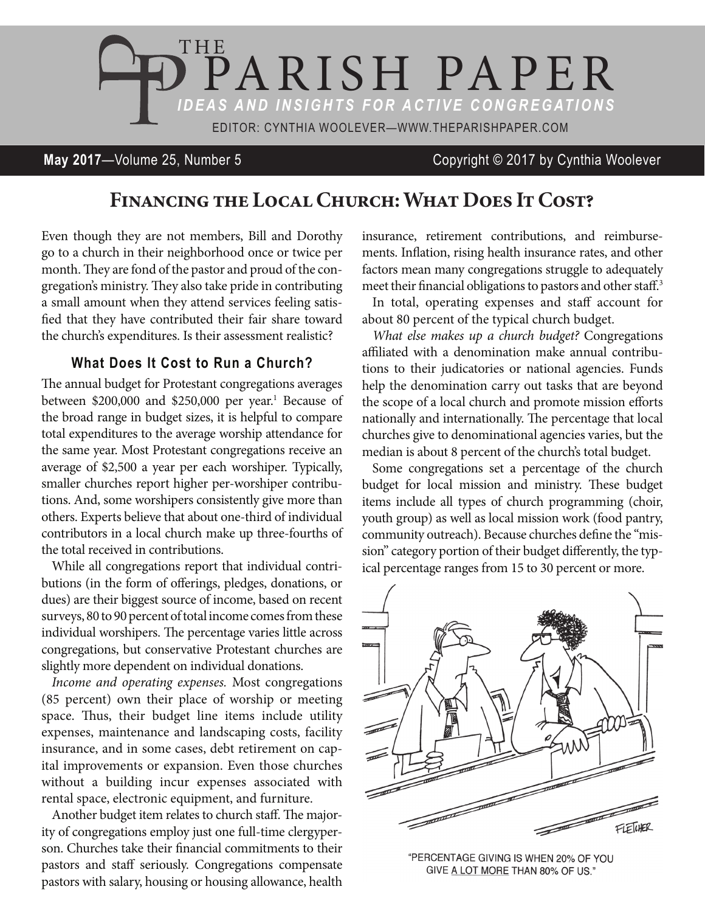

#### **May 2017**—Volume 25, Number 5 Copyright © 2017 by Cynthia Woolever

# **Financing the Local Church: What Does It Cost?**

Even though they are not members, Bill and Dorothy go to a church in their neighborhood once or twice per month. They are fond of the pastor and proud of the congregation's ministry. They also take pride in contributing a small amount when they attend services feeling satisfied that they have contributed their fair share toward the church's expenditures. Is their assessment realistic?

#### **What Does It Cost to Run a Church?**

The annual budget for Protestant congregations averages between \$200,000 and \$250,000 per year.<sup>1</sup> Because of the broad range in budget sizes, it is helpful to compare total expenditures to the average worship attendance for the same year. Most Protestant congregations receive an average of \$2,500 a year per each worshiper. Typically, smaller churches report higher per-worshiper contributions. And, some worshipers consistently give more than others. Experts believe that about one-third of individual contributors in a local church make up three-fourths of the total received in contributions.

While all congregations report that individual contributions (in the form of offerings, pledges, donations, or dues) are their biggest source of income, based on recent surveys, 80 to 90 percent of total income comes from these individual worshipers. The percentage varies little across congregations, but conservative Protestant churches are slightly more dependent on individual donations.

*Income and operating expenses.* Most congregations (85 percent) own their place of worship or meeting space. Thus, their budget line items include utility expenses, maintenance and landscaping costs, facility insurance, and in some cases, debt retirement on capital improvements or expansion. Even those churches without a building incur expenses associated with rental space, electronic equipment, and furniture.

Another budget item relates to church staff. The majority of congregations employ just one full-time clergyperson. Churches take their financial commitments to their pastors and staff seriously. Congregations compensate pastors with salary, housing or housing allowance, health insurance, retirement contributions, and reimbursements. Inflation, rising health insurance rates, and other factors mean many congregations struggle to adequately meet their financial obligations to pastors and other staff.<sup>3</sup>

In total, operating expenses and staff account for about 80 percent of the typical church budget.

*What else makes up a church budget?* Congregations affiliated with a denomination make annual contributions to their judicatories or national agencies. Funds help the denomination carry out tasks that are beyond the scope of a local church and promote mission efforts nationally and internationally. The percentage that local churches give to denominational agencies varies, but the median is about 8 percent of the church's total budget.

Some congregations set a percentage of the church budget for local mission and ministry. These budget items include all types of church programming (choir, youth group) as well as local mission work (food pantry, community outreach). Because churches define the "mission" category portion of their budget differently, the typical percentage ranges from 15 to 30 percent or more.



"PERCENTAGE GIVING IS WHEN 20% OF YOU GIVE A LOT MORE THAN 80% OF US."